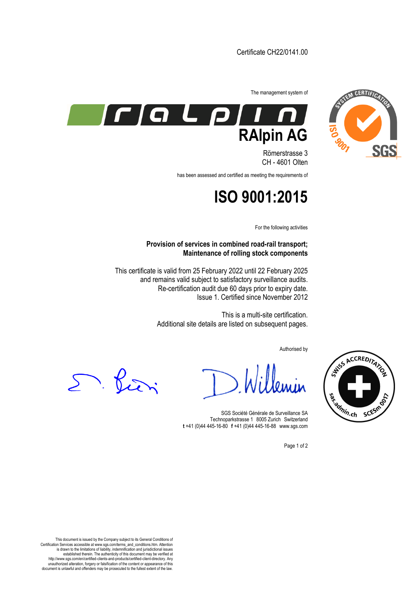

SNISS ACCREDITATION

sa Samin.ch scesmo





Römerstrasse 3 CH - 4601 Olten

has been assessed and certified as meeting the requirements of

## **ISO 9001:2015**

For the following activities

**Provision of services in combined road-rail transport; Maintenance of rolling stock components**

This certificate is valid from 25 February 2022 until 22 February 2025 and remains valid subject to satisfactory surveillance audits. Re-certification audit due 60 days prior to expiry date. Issue 1. Certified since November 2012

> This is a multi-site certification. Additional site details are listed on subsequent pages.

> > Authorised by

D. Pieri

SGS Société Générale de Surveillance SA Technoparkstrasse 1 8005 Zurich Switzerland **t** +41 (0)44 445-16-80□**f** +41 (0)44 445-16-88□www.sgs.com

Page 1 of 2

This document is issued by the Company subject to its General Conditions of Certification Services accessible at www.sgs.com/terms\_and\_conditions.htm. Attention is drawn to the limitations of liability, indemnification and jurisdictional issues established therein. The authenticity of this document may be verified at http://www.sgs.com/en/certified-clients-and-products/certified-client-directory. Any unauthorized alteration, forgery or falsification of the content or appearance of this document is unlawful and offenders may be prosecuted to the fullest extent of the law.